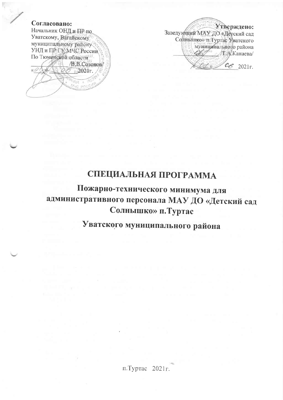### Согласовано:

Начальник ОНД и ПР по Уватскому, Вагайскому муниципальному району УНД и ПР ГУ МЧС России По Тюменской области В.В.Созонов/ «О  $60.2021$ r. **MAC POOP** 

Утверждено: Заведующий МАУ ДО «Детский сад Солнышко» п. Туртас Мватского муниципального района **T.A.**Канаева/ 06 2021 r.

# СПЕЦИАЛЬНАЯ ПРОГРАММА

Пожарно-технического минимума для административного персонала МАУ ДО «Детский сад Солнышко» п. Туртас

Уватского муниципального района

п.Туртас 2021 г.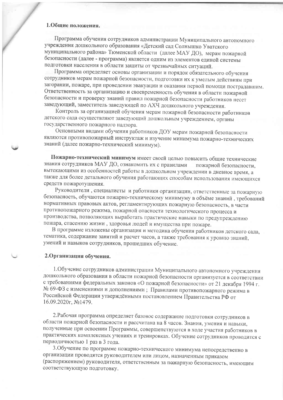#### 1.Общие положения.

Программа обучения сотрудников администрации Муниципального автономного учреждения дошкольного образования «Детский сад Солнышко Уватского муниципального района» Тюменской области (далее МАУ ДО), мерам пожарной безопасности (далее - программа) является одним из элементов единой системы подготовки населения в области защиты от чрезвычайных ситуаций.

Программа определяет основы организации и порядок обязательного обучения сотрудников мерам пожарной безопасности, подготовки их к умелым действиям при загорании, пожаре, при проведении эвакуации и оказания первой помощи пострадавшим. Ответственность за организацию и своевременность обучения в области пожарной безопасности и проверку знаний правил пожарной безопасности работников несет заведующий, заместитель заведующей по АХЧ дошкольного учреждения.

Контроль за организацией обучения мерам пожарной безопасности работников детского сада осуществляют заведующий дошкольным учреждением, органы государственного пожарного надзора.

Основными видами обучения работников ДОУ мерам пожарной безопасности являются противопожарный инструктаж и изучение минимума пожарно-технических знаний (далее пожарно-технический минимум).

Пожарно-технический минимум имеет своей целью повысить общие технические знания сотрудников МАУ ДО, ознакомить их с правилами пожарной безопасности. вытекающими из особенностей работы в дошкольном учреждении в дневное время, а также для более детального обучения работающих способам использования имеющихся средств пожаротушения.

Руководители, специалисты и работники организации, ответственные за пожарную безопасность, обучаются пожарно-техническому минимуму в объёме знаний, требований нормативных правовых актов, регламентирующих пожарную безопасность, в части противопожарного режима, пожарной опасности технологического процесса и производства, позволяющих выработать практические навыки по предупреждению пожара, спасению жизни, здоровья людей и имущества при пожаре.

В программе изложены организация и методика обучения работников детского сада, тематика, содержание занятий и расчет часов, а также требования к уровню знаний, умений и навыков сотрудников, прошедших обучение.

#### 2. Организация обучения.

1. Обучение сотрудников администрации Муниципального автономного учреждения дошкольного образования в области пожарной безопасности организуется в соответствии с требованиями федеральных законов «О пожарной безопасности» от 21 декабря 1994 г. № 69-ФЗ с изменениями и дополнениями; Правилами противопожарного режима в Российской Федерации утверждёнными постановлением Правительства РФ от 16.09.2020г, №1479.

2. Рабочая программа определяет базовое содержание подготовки сотрудников в области пожарной безопасности и рассчитана на 8 часов. Знания, умения и навыки, полученные при освоении Программы, совершенствуются в ходе участия работников в практических комплексных учениях и тренировках. Обучение сотрудников проводится с периодичностью 1 раз в 3 года.

3. Обучение по программе пожарно-технического минимума непосредственно в организации проводятся руководителем или лицом, назначенным приказом (распоряжением) руководителя, ответственным за пожарную безопасность, имеющим соответствующую подготовку.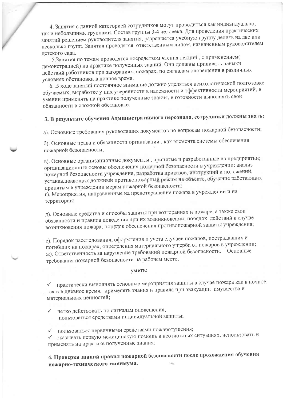4. Занятия с данной категорией сотрудников могут проводиться как индивидуально, так и небольшими группами. Состав группы 3-4 человека. Для проведения практических занятий решением руководителя занятия, разрешается учебную группу делить на две или несколько групп. Занятия проводятся ответственным лицом, назначенным руководителем детского сада.

5. Занятия по темам проводятся посредством чтения лекций, с применением( демонстрацией) на практике полученных знаний. Они должны прививать навыки действий работников при загораниях, пожарах, по сигналам оповещения в различных условиях обстановки в ночное время.

6. В ходе занятий постоянное внимание должно уделяться психологической подготовке обучаемых, выработке у них уверенности в надежности и эффективности мероприятий, в умении применять на практике полученные знания, в готовности выполнять свои обязанности в сложной обстановке.

# 3. В результате обучения Административного персонала, сотрудники должны знать:

а). Основные требования руководящих документов по вопросам пожарной безопасности;

б). Основные права и обязанности организации, как элемента системы обеспечения пожарной безопасности;

в). Основные организационные документы, принятые и разработанные на предприятии; организационные основы обеспечения пожарной безопасности в учреждении: анализ пожарной безопасности учреждения, разработка приказов, инструкций и положений, устанавливающих должный противопожарный режим на объекте, обучение работающих принятым в учреждении мерам пожарной безопасности;

г). Мероприятия, направленные на предотвращение пожара в учреждении и на территории;

д). Основные средства и способы защиты при возгораниях и пожаре, а также свои обязанности и правила поведения при их возникновении; порядок действий в случае возникновения пожара; порядок обеспечения противопожарной защиты учреждения;

е). Порядок расследования, оформления и учета случаев пожаров, пострадавших и погибших на пожарах, определения материального ущерба от пожаров в учреждении; ж). Ответственность за нарушение требований пожарной безопасности. Основные требования пожарной безопасности на рабочем месте;

#### уметь:

√ практически выполнять основные мероприятия защиты в случае пожара как в ночное, так и в дневное время, применять знания и правила при эвакуации имущества и материальных ценностей;

четко действовать по сигналам оповещения; пользоваться средствами индивидуальной защиты;

√ пользоваться первичными средствами пожаротушения;

оказывать первую медицинскую помощь в неотложных ситуациях, использовать и применять на практике полученные знания;

4. Проверка знаний правил пожарной безопасности после прохождения обучения пожарно-технического минимума.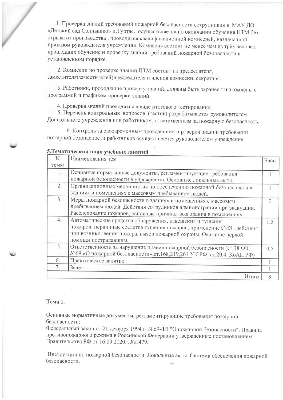1. Проверка знаний требований пожарной безопасности сотрудников в МАУ ДО «Детский сад Солнышко» п. Туртас, осуществляется по окончании обучения ПТМ без отрыва от производства, проводится квалификационной комиссией, назначенной приказом руководителя учреждения. Комиссия состоит не менее чем из трёх человек, прошедших обучение и проверку знаний требований пожарной безопасности в установленном порядке.

2. Комиссии по проверке знаний ПТМ состоит из председателя, заместителя(заместителей)председателя и членов комиссии, секретаря.

3. Работники, проходящие проверку знаний, должны быть заранее ознакомлены с программой и графиком проверки знаний.

4. Проверка знаний проводится в виде итогового тестирования.

5. Перечень контрольных вопросов (тестов) разрабатывается руководителем Дошкольного учреждения или работником, ответственным за пожарную безопасность.

6. Контроль за своевременным проведением проверки знаний требований пожарной безопасности работников осуществляется руководителем учреждения.

| N    | Наименования тем                                                                                                                                                                                                              | Часы |
|------|-------------------------------------------------------------------------------------------------------------------------------------------------------------------------------------------------------------------------------|------|
| темы |                                                                                                                                                                                                                               |      |
| 1.   | Основные нормативные документы, регламентирующие требования<br>пожарной безопасности в учреждении. Основные локальные акты.                                                                                                   |      |
| 2.   | Организационные мероприятия по обеспечению пожарной безопасности в<br>зданиях и помещениях с массовым пребыванием людей.                                                                                                      |      |
| 3.   | Меры пожарной безопасности в зданиях и помещениях с массовым<br>пребыванием людей. Действия сотрудников администрации при эвакуации.<br>Расследование пожаров, основные причины возгорания в помещениях.                      |      |
| 4.   | Автоматические средства обнаружения, извещения и тушения<br>пожаров, первичные средства тушения пожаров, применение СИЗ, действия<br>при возникновении пожара, вызов пожарной охраны. Оказание первой<br>помощи пострадавшим. | 1,5  |
| 5.   | Ответственность за нарушение правил пожарной безопасности (ст.38 ФЗ<br>№69 «О пожарной безопасности», ст.168,219,261 УК РФ, ст.20.4. КоАП РФ)                                                                                 | 0.5  |
| 6.   | Практическое занятие                                                                                                                                                                                                          |      |
|      | Зачет                                                                                                                                                                                                                         |      |
|      | $M_{\text{TOTO}}$                                                                                                                                                                                                             |      |

### 5 Tematuusekuu uusu vuokuuv aangavit

#### Тема 1.

Основные нормативные документы, регламентирующие требования пожарной безопасности:

Федеральный закон от 21 декабря 1994 г. N 69-ФЗ "О пожарной безопасности"; Правила противопожарного режима в Российской Федерации утверждённые постановлением Правительства РФ от 16.09.2020г, №1479.

Инструкции по пожарной безопасности. Локальные акты. Система обеспечения пожарной безопасности.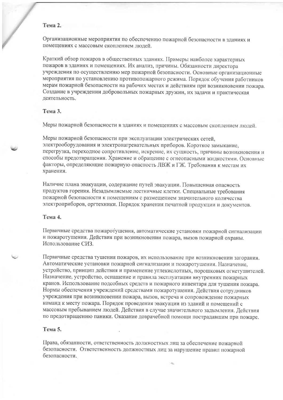#### Тема 2.

Организационные мероприятия по обеспечению пожарной безопасности в зданиях и помещениях с массовым скоплением люлей.

Краткий обзор пожаров в общественных зданиях. Примеры наиболее характерных пожаров в зданиях и помещениях. Их анализ, причины. Обязанности директора учреждения по осуществлению мер пожарной безопасности. Основные организационные мероприятия по установлению противопожарного режима. Порядок обучения работников мерам пожарной безопасности на рабочих местах и действиям при возникновении пожара. Создание в учреждении добровольных пожарных дружин, их залачи и практическая деятельность.

#### Тема 3.

Меры пожарной безопасности в зданиях и помещениях с массовым скоплением людей.

Меры пожарной безопасности при эксплуатации электрических сетей. электрооборудования и электронагревательных приборов. Короткое замыкание, перегрузка, переходное сопротивление, искрение, их сущность, причины возникновения и способы предотвращения. Хранение и обращение с огнеопасными жидкостями. Основные факторы, определяющие пожарную опасность ЛВЖ и ГЖ. Требования к местам их хранения.

Наличие плана эвакуации, содержание путей эвакуации. Повышенная опасность продуктов горения. Незадымляемые лестничные клетки. Специальные требования пожарной безопасности к помещениям с размещением значительного количества электроприборов, оргтехники. Порядок хранения печатной продукции и документов.

#### Тема 4.

Первичные средства пожаротушения, автоматические установки пожарной сигнализации и пожаротушения. Действия при возникновении пожара, вызов пожарной охраны. Использование СИЗ.

Первичные средства тушения пожаров, их использование при возникновении загорания. Автоматические установки пожарной сигнализации и пожаротушения. Назначение, устройство, принцип действия и применение углекислотных, порошковых огнетушителей. Назначение, устройство, оснащение и правила эксплуатации внутренних пожарных кранов. Использование подсобных средств и пожарного инвентаря для тушения пожара. Нормы обеспечения учреждений средствами пожаротушения. Действия сотрудников учреждения при возникновении пожара, вызов, встреча и сопровождение пожарных команд к месту пожара. Порядок проведения эвакуации из зданий и помещений с массовым пребыванием людей. Действия в случае значительного задымления. Действия по предотвращению паники. Оказание доврачебной помощи пострадавшим при пожаре.

#### Тема 5.

Права, обязанности, ответственность должностных лиц за обеспечение пожарной безопасности. Ответственность должностных лиц за нарушение правил пожарной безопасности.